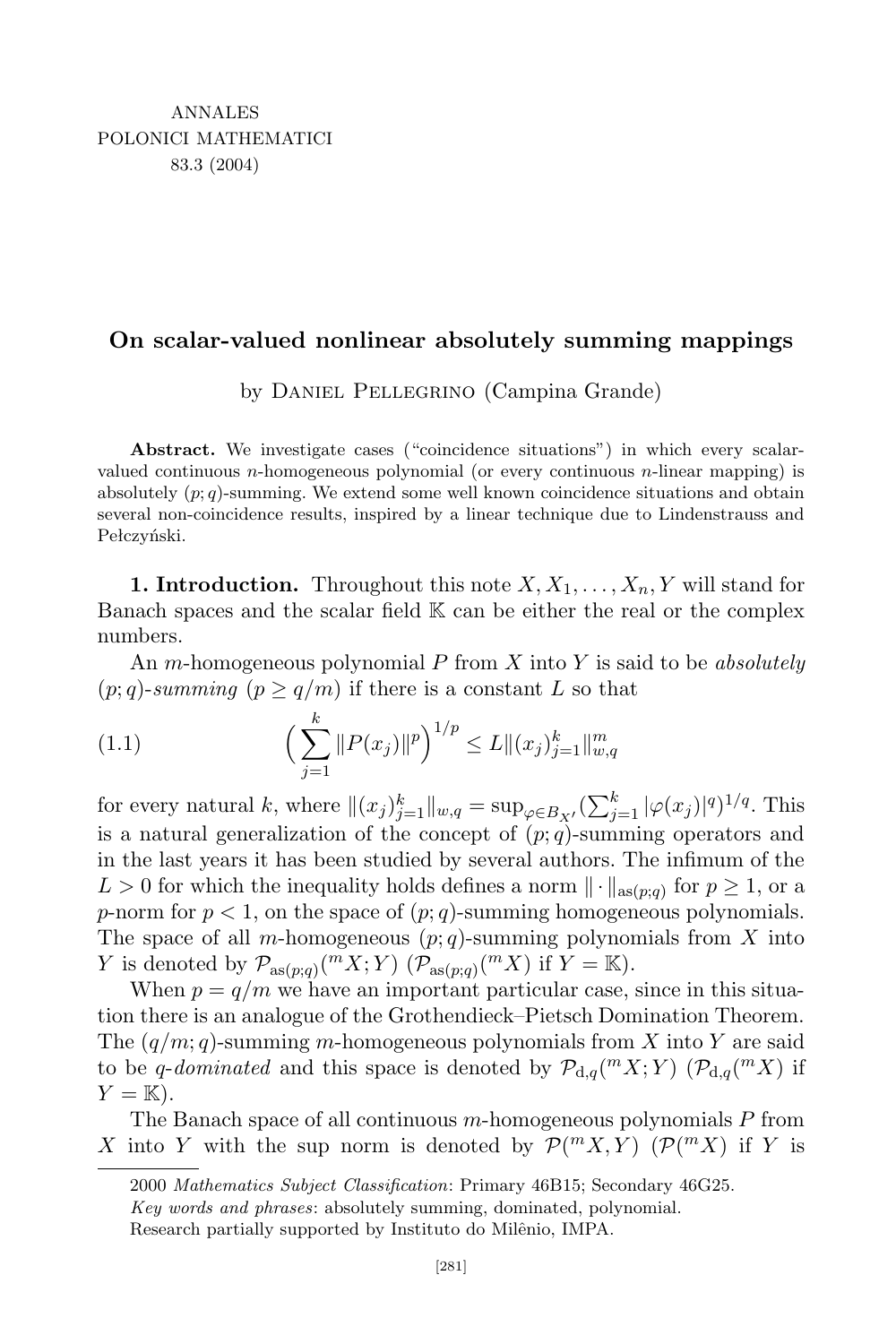## **On scalar-valued nonlinear absolutely summing mappings**

by Daniel Pellegrino (Campina Grande)

**Abstract.** We investigate cases ("coincidence situations") in which every scalarvalued continuous *n*-homogeneous polynomial (or every continuous *n*-linear mapping) is absolutely  $(p; q)$ -summing. We extend some well known coincidence situations and obtain several non-coincidence results, inspired by a linear technique due to Lindenstrauss and Pełczyński.

**1. Introduction.** Throughout this note  $X, X_1, \ldots, X_n, Y$  will stand for Banach spaces and the scalar field K can be either the real or the complex numbers.

An *m*-homogeneous polynomial *P* from *X* into *Y* is said to be *absolutely*  $(p;q)$ -summing  $(p \geq q/m)$  if there is a constant *L* so that

(1.1) 
$$
\left(\sum_{j=1}^{k} ||P(x_j)||^p\right)^{1/p} \le L ||(x_j)_{j=1}^k||_{w,q}^m
$$

for every natural k, where  $||(x_j)_{j=1}^k||_{w,q} = \sup_{\varphi \in B_{X'}} (\sum_{j=1}^k |\varphi(x_j)|^q)^{1/q}$ . This is a natural generalization of the concept of  $(p; q)$ -summing operators and in the last years it has been studied by several authors. The infimum of the  $L > 0$  for which the inequality holds defines a norm  $\|\cdot\|_{\text{as}(p;q)}$  for  $p \geq 1$ , or a *p*-norm for  $p < 1$ , on the space of  $(p; q)$ -summing homogeneous polynomials. The space of all *m*-homogeneous (*p*; *q*)-summing polynomials from *X* into *Y* is denoted by  $\mathcal{P}_{\text{as}(p;q)}(^m X; Y)$   $(\mathcal{P}_{\text{as}(p;q)}(^m X)$  if  $Y = \mathbb{K})$ .

When  $p = q/m$  we have an important particular case, since in this situation there is an analogue of the Grothendieck–Pietsch Domination Theorem. The (*q/m*; *q*)-summing *m*-homogeneous polynomials from *X* into *Y* are said to be *q*-*dominated* and this space is denoted by  $\mathcal{P}_{d,q}(^m X; Y)$  ( $\mathcal{P}_{d,q}(^m X)$  if  $Y = \mathbb{K}$ ).

The Banach space of all continuous *m*-homogeneous polynomials *P* from *X* into *Y* with the sup norm is denoted by  $P(^{m}X,Y)$  ( $P(^{m}X)$ ) if *Y* is

<sup>2000</sup> *Mathematics Subject Classification*: Primary 46B15; Secondary 46G25.

*Key words and phrases*: absolutely summing, dominated, polynomial.

Research partially supported by Instituto do Milênio, IMPA.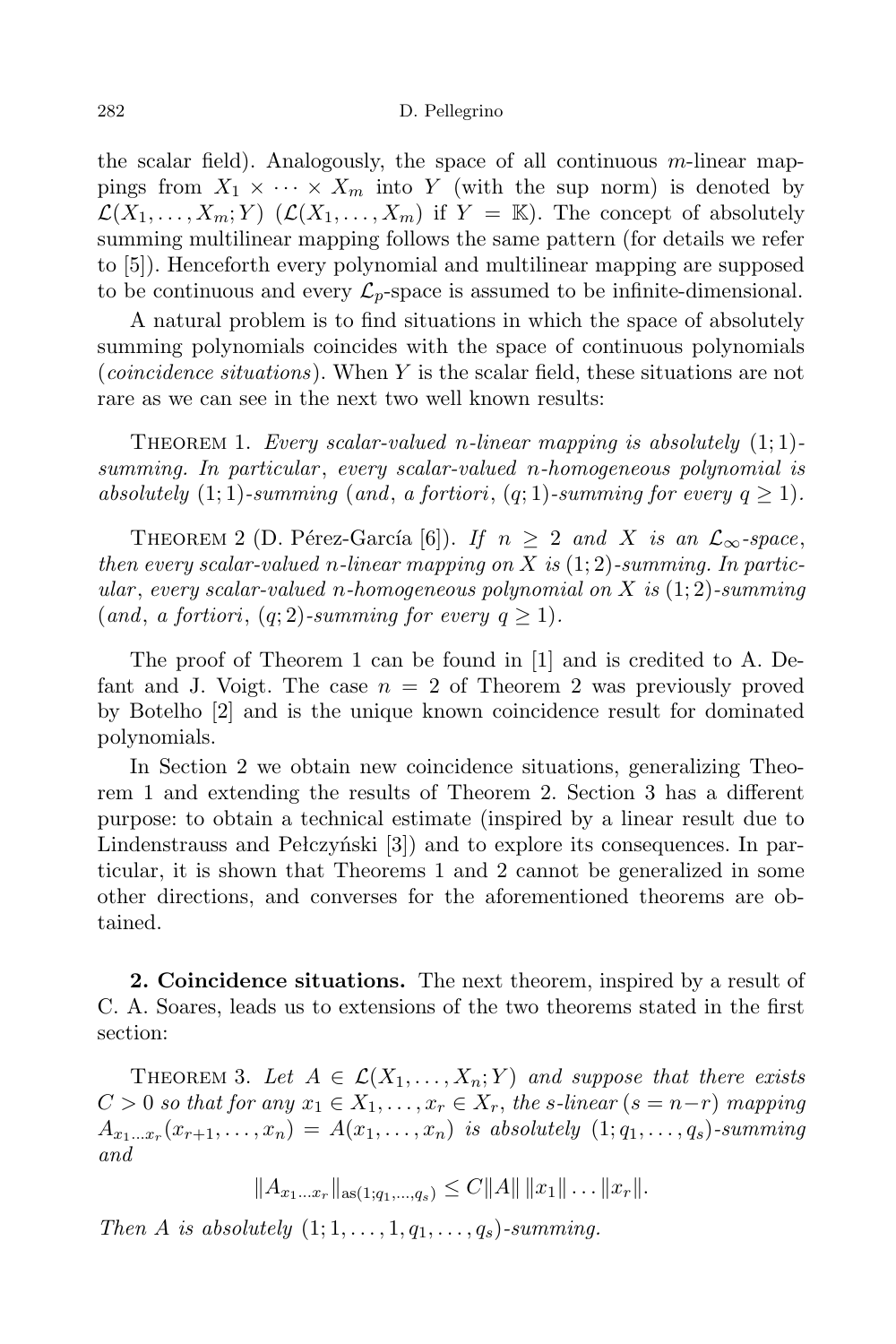the scalar field). Analogously, the space of all continuous *m*-linear mappings from  $X_1 \times \cdots \times X_m$  into Y (with the sup norm) is denoted by  $\mathcal{L}(X_1, \ldots, X_m; Y)$  ( $\mathcal{L}(X_1, \ldots, X_m)$  if  $Y = \mathbb{K}$ ). The concept of absolutely summing multilinear mapping follows the same pattern (for details we refer to [5]). Henceforth every polynomial and multilinear mapping are supposed to be continuous and every  $\mathcal{L}_p$ -space is assumed to be infinite-dimensional.

A natural problem is to find situations in which the space of absolutely summing polynomials coincides with the space of continuous polynomials (*coincidence situations*). When *Y* is the scalar field, these situations are not rare as we can see in the next two well known results:

THEOREM 1. *Every* scalar-valued *n*-linear mapping is absolutely  $(1, 1)$ *summing. In particular* , *every scalar-valued n-homogeneous polynomial is absolutely*  $(1; 1)$ *-summing*  $(and, a fortiori, (q; 1)$ *-summing*  $for every q \geq 1$ *)*.

THEOREM 2 (D. Pérez-García [6]). *If*  $n \geq 2$  *and X is an*  $\mathcal{L}_{\infty}$ -space, *then every scalar-valued n-linear mapping on X is* (1; 2)*-summing. In particular* , *every scalar-valued n-homogeneous polynomial on X is* (1; 2)*-summing*  $(and, a fortiori, (q; 2)-summing for every q \geq 1).$ 

The proof of Theorem 1 can be found in [1] and is credited to A. Defant and J. Voigt. The case *n* = 2 of Theorem 2 was previously proved by Botelho [2] and is the unique known coincidence result for dominated polynomials.

In Section 2 we obtain new coincidence situations, generalizing Theorem 1 and extending the results of Theorem 2. Section 3 has a different purpose: to obtain a technical estimate (inspired by a linear result due to Lindenstrauss and Pełczyński [3]) and to explore its consequences. In particular, it is shown that Theorems 1 and 2 cannot be generalized in some other directions, and converses for the aforementioned theorems are obtained.

**2. Coincidence situations.** The next theorem, inspired by a result of C. A. Soares, leads us to extensions of the two theorems stated in the first section:

THEOREM 3. Let  $A \in \mathcal{L}(X_1, \ldots, X_n; Y)$  and suppose that there exists  $C > 0$  so that for any  $x_1 \in X_1, \ldots, x_r \in X_r$ , the s-linear  $(s = n-r)$  mapping  $A_{x_1...x_r}(x_{r+1},...,x_n) = A(x_1,...,x_n)$  is absolutely  $(1;q_1,...,q_s)$ -summing *and*

 $||A_{x_1...x_r}||_{\text{as}(1; a_1,..., a_s)} \leq C ||A|| ||x_1|| \dots ||x_r||.$ 

*Then A is absolutely*  $(1; 1, \ldots, 1, q_1, \ldots, q_s)$ -summing.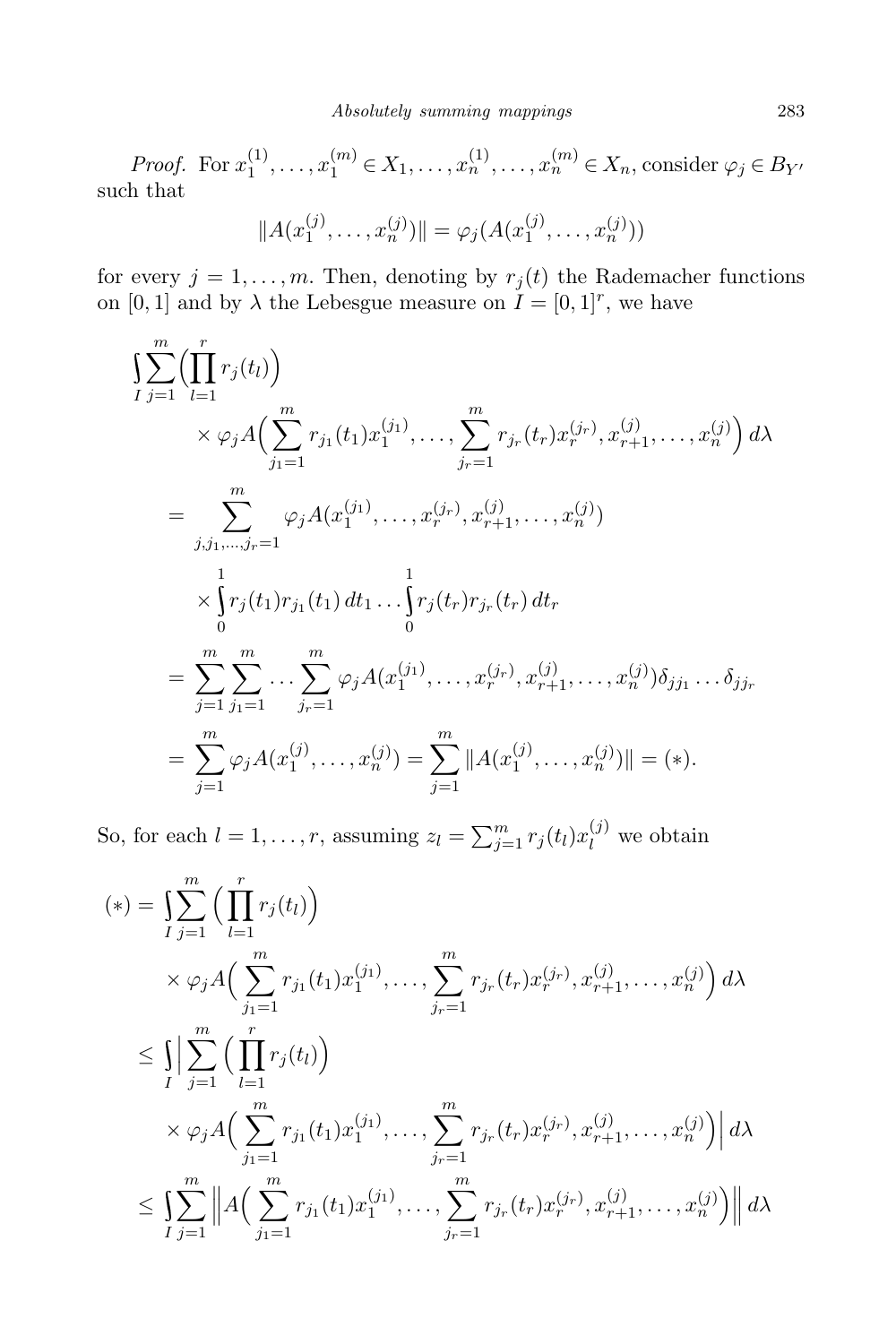*Proof.* For  $x_1^{(1)}$  $x_1^{(1)}, \ldots, x_1^{(m)} \in X_1, \ldots, x_n^{(1)}, \ldots, x_n^{(m)} \in X_n$ , consider  $\varphi_j \in B_{Y'}$ such that

$$
||A(x_1^{(j)},...,x_n^{(j)})|| = \varphi_j(A(x_1^{(j)},...,x_n^{(j)}))
$$

for every  $j = 1, \ldots, m$ . Then, denoting by  $r_j(t)$  the Rademacher functions on  $[0, 1]$  and by  $\lambda$  the Lebesgue measure on  $I = [0, 1]^r$ , we have

$$
\begin{split}\n&\sum_{j=1}^{m} \Big( \prod_{l=1}^{r} r_j(t_l) \Big) \\
&\times \varphi_j A \Big( \sum_{j_1=1}^{m} r_{j_1}(t_1) x_1^{(j_1)}, \ldots, \sum_{j_r=1}^{m} r_{j_r}(t_r) x_r^{(j_r)}, x_{r+1}^{(j)}, \ldots, x_n^{(j)} \Big) \, d\lambda \\
&= \sum_{j,j_1,\ldots,j_r=1}^{m} \varphi_j A(x_1^{(j_1)}, \ldots, x_r^{(j_r)}, x_{r+1}^{(j)}, \ldots, x_n^{(j)}) \\
&\times \int_{0}^{1} r_j(t_1) r_{j_1}(t_1) \, dt_1 \ldots \int_{0}^{1} r_j(t_r) r_{j_r}(t_r) \, dt_r \\
&= \sum_{j=1}^{m} \sum_{j_1=1}^{m} \ldots \sum_{j_r=1}^{m} \varphi_j A(x_1^{(j_1)}, \ldots, x_r^{(j_r)}, x_{r+1}^{(j)}, \ldots, x_n^{(j)}) \delta_{j j_1} \ldots \delta_{j j_r} \\
&= \sum_{j=1}^{m} \varphi_j A(x_1^{(j)}, \ldots, x_n^{(j)}) = \sum_{j=1}^{m} \| A(x_1^{(j)}, \ldots, x_n^{(j)}) \| = (*).\n\end{split}
$$

So, for each  $l = 1, \ldots, r$ , assuming  $z_l = \sum_{j=1}^m r_j(t_l)x_l^{(j)}$  we obtain

$$
(*) = \sum_{j=1}^{m} \left( \prod_{l=1}^{r} r_j(t_l) \right)
$$
  
\n
$$
\times \varphi_j A \left( \sum_{j_1=1}^{m} r_{j_1}(t_1) x_1^{(j_1)}, \dots, \sum_{j_r=1}^{m} r_{j_r}(t_r) x_r^{(j_r)}, x_{r+1}^{(j)}, \dots, x_n^{(j)} \right) d\lambda
$$
  
\n
$$
\leq \int_{I} \left| \sum_{j=1}^{m} \left( \prod_{l=1}^{r} r_j(t_l) \right) \right|
$$
  
\n
$$
\times \varphi_j A \left( \sum_{j_1=1}^{m} r_{j_1}(t_1) x_1^{(j_1)}, \dots, \sum_{j_r=1}^{m} r_{j_r}(t_r) x_r^{(j_r)}, x_{r+1}^{(j)}, \dots, x_n^{(j)} \right) d\lambda
$$
  
\n
$$
\leq \int_{I} \sum_{j=1}^{m} \left| A \left( \sum_{j_1=1}^{m} r_{j_1}(t_1) x_1^{(j_1)}, \dots, \sum_{j_r=1}^{m} r_{j_r}(t_r) x_r^{(j_r)}, x_{r+1}^{(j)}, \dots, x_n^{(j)} \right) \right| d\lambda
$$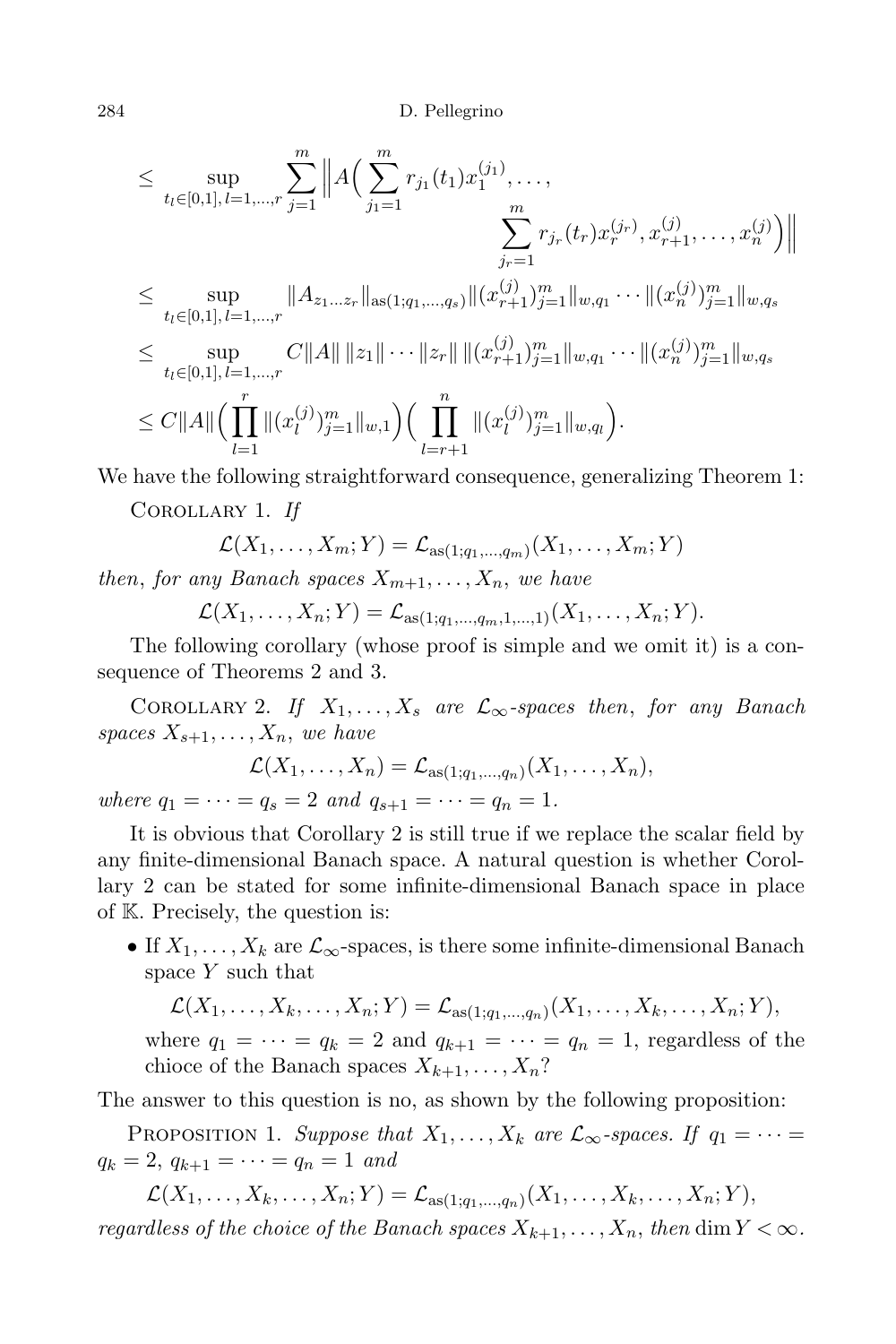$$
\leq \sup_{t_l \in [0,1], l=1,\dots,r} \sum_{j=1}^m \left\| A\Big(\sum_{j_1=1}^m r_{j_1}(t_1) x_1^{(j_1)}, \dots, \sum_{j_r=1}^m r_{j_r}(t_r) x_r^{(j_r)}, x_{r+1}^{(j)}, \dots, x_n^{(j)} \Big) \right\|
$$
  

$$
\leq \sup_{t_l \in [0,1], l=1,\dots,r} \|A_{z_1 \dots z_r} \|_{\text{as}(1;q_1,\dots,q_s)} \| (x_{r+1}^{(j)})_{j=1}^m \|_{w,q_1} \dots \| (x_n^{(j)})_{j=1}^m \|_{w,q_s}
$$
  

$$
\leq \sup_{t_l \in [0,1], l=1,\dots,r} C \|A\| \|z_1\| \dots \|z_r\| \| (x_{r+1}^{(j)})_{j=1}^m \|_{w,q_1} \dots \| (x_n^{(j)})_{j=1}^m \|_{w,q_s}
$$
  

$$
\leq C \|A\| \Big(\prod_{l=1}^r \| (x_l^{(j)})_{j=1}^m \|_{w,l} \Big) \Big(\prod_{l=r+1}^n \| (x_l^{(j)})_{j=1}^m \|_{w,q_l} \Big).
$$

We have the following straightforward consequence, generalizing Theorem 1:

Corollary 1. *If*

$$
\mathcal{L}(X_1,\ldots,X_m;Y) = \mathcal{L}_{\text{as}(1;q_1,\ldots,q_m)}(X_1,\ldots,X_m;Y)
$$

*then, for any Banach spaces*  $X_{m+1}, \ldots, X_n$ *, we have* 

$$
\mathcal{L}(X_1,\ldots,X_n;Y)=\mathcal{L}_{\mathrm{as}(1;q_1,\ldots,q_m,1,\ldots,1)}(X_1,\ldots,X_n;Y).
$$

The following corollary (whose proof is simple and we omit it) is a consequence of Theorems 2 and 3.

COROLLARY 2. *If*  $X_1, \ldots, X_s$  are  $\mathcal{L}_{\infty}$ -spaces then, for any Banach *spaces*  $X_{s+1}, \ldots, X_n$ *, we have* 

$$
\mathcal{L}(X_1, ..., X_n) = \mathcal{L}_{\text{as}(1;q_1,...,q_n)}(X_1, ..., X_n),
$$
  
where  $q_1 = \cdots = q_s = 2$  and  $q_{s+1} = \cdots = q_n = 1$ .

It is obvious that Corollary 2 is still true if we replace the scalar field by any finite-dimensional Banach space. A natural question is whether Corollary 2 can be stated for some infinite-dimensional Banach space in place of K. Precisely, the question is:

• If  $X_1, \ldots, X_k$  are  $\mathcal{L}_{\infty}$ -spaces, is there some infinite-dimensional Banach space *Y* such that

 $\mathcal{L}(X_1, ..., X_k, ..., X_n; Y) = \mathcal{L}_{\text{as}(1;q_1,...,q_n)}(X_1, ..., X_k, ..., X_n; Y),$ 

where  $q_1 = \cdots = q_k = 2$  and  $q_{k+1} = \cdots = q_n = 1$ , regardless of the chioce of the Banach spaces  $X_{k+1}, \ldots, X_n$ ?

The answer to this question is no, as shown by the following proposition:

PROPOSITION 1. *Suppose that*  $X_1, \ldots, X_k$  *are*  $\mathcal{L}_{\infty}$ -spaces. If  $q_1 = \cdots =$  $q_k = 2, q_{k+1} = \cdots = q_n = 1$  *and* 

 $\mathcal{L}(X_1, ..., X_k, ..., X_n; Y) = \mathcal{L}_{\text{as}(1; q_1, ..., q_n)}(X_1, ..., X_k, ..., X_n; Y),$ regardless of the choice of the Banach spaces  $X_{k+1}, \ldots, X_n$ , then dim  $Y < \infty$ .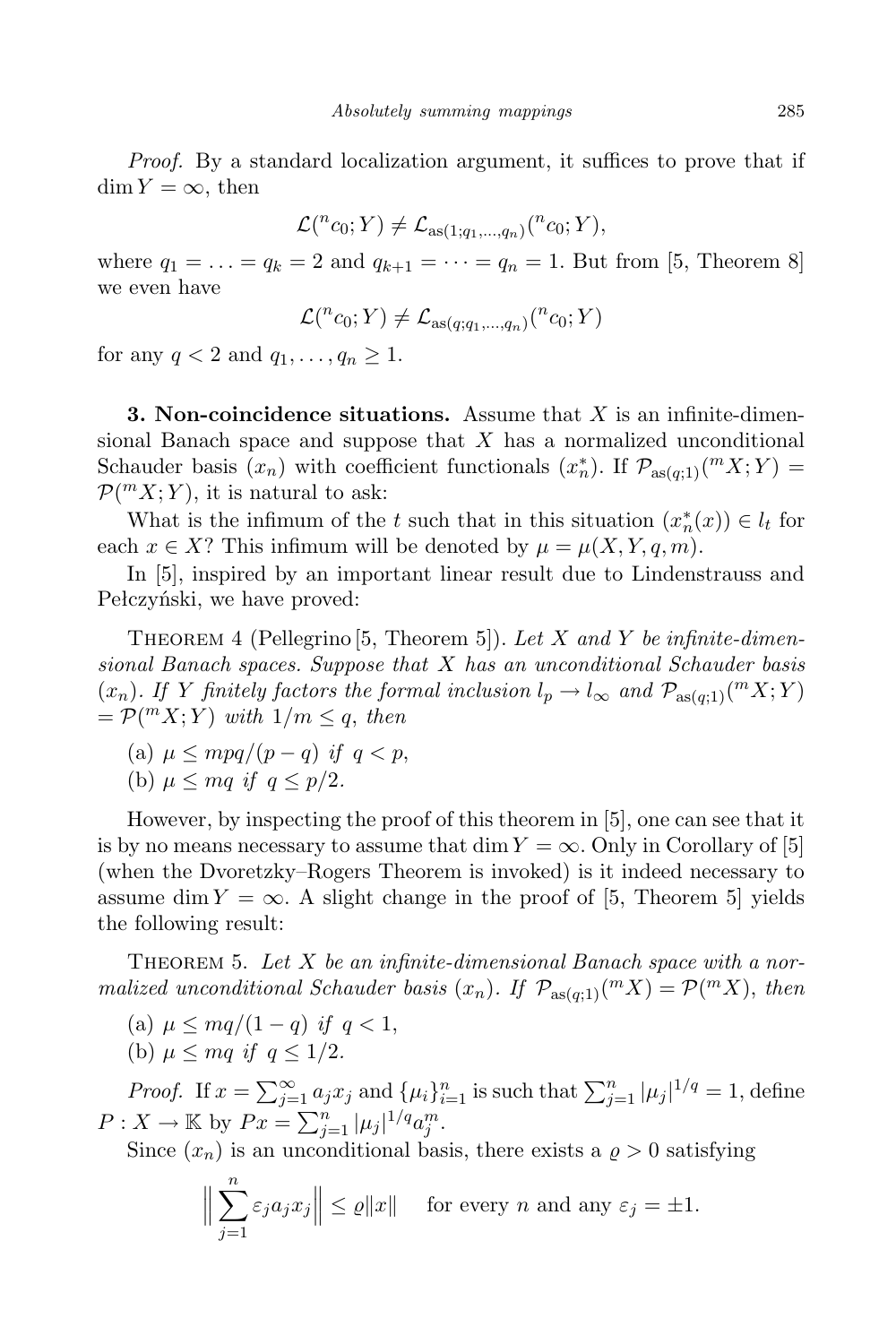*Proof.* By a standard localization argument, it suffices to prove that if  $\dim Y = \infty$ , then

$$
\mathcal{L}(^{n}c_{0};Y)\neq\mathcal{L}_{\mathrm{as}(1;q_{1},...,q_{n})}(^{n}c_{0};Y),
$$

where  $q_1 = ... = q_k = 2$  and  $q_{k+1} = ... = q_n = 1$ . But from [5, Theorem 8] we even have

$$
\mathcal{L}(^{n}c_{0};Y)\neq\mathcal{L}_{\mathrm{as}(q;q_{1},...,q_{n})}(^{n}c_{0};Y)
$$

for any  $q < 2$  and  $q_1, \ldots, q_n \geq 1$ .

**3. Non-coincidence situations.** Assume that *X* is an infinite-dimensional Banach space and suppose that *X* has a normalized unconditional Schauder basis  $(x_n)$  with coefficient functionals  $(x_n^*)$ . If  $\mathcal{P}_{\text{as}(q,1)}(^m X; Y) =$  $P(^{m}X; Y)$ , it is natural to ask:

What is the infimum of the *t* such that in this situation  $(x_n^*(x)) \in l_t$  for each  $x \in X$ ? This infimum will be denoted by  $\mu = \mu(X, Y, q, m)$ .

In [5], inspired by an important linear result due to Lindenstrauss and Pełczyński, we have proved:

Theorem 4 (Pellegrino [5, Theorem 5]). *Let X and Y be infinite-dimensional Banach spaces. Suppose that X has an unconditional Schauder basis*  $(x_n)$ . If Y finitely factors the formal inclusion  $l_p \to l_\infty$  and  $\mathcal{P}_{\text{as}(q;1)}(^m X; Y)$  $= \mathcal{P}(^m X; Y)$  with  $1/m \leq q$ , then

(a) 
$$
\mu \le mpq/(p-q)
$$
 if  $q < p$ ,  
(b)  $\mu \le mq$  if  $q \le p/2$ .

However, by inspecting the proof of this theorem in [5], one can see that it is by no means necessary to assume that  $\dim Y = \infty$ . Only in Corollary of [5] (when the Dvoretzky–Rogers Theorem is invoked) is it indeed necessary to assume dim  $Y = \infty$ . A slight change in the proof of [5, Theorem 5] yields the following result:

Theorem 5. *Let X be an infinite-dimensional Banach space with a normalized unconditional Schauder basis*  $(x_n)$ *. If*  $\mathcal{P}_{\text{as}(q;1)}(mX) = \mathcal{P}(mX)$ *, then* 

(a)  $\mu$  ≤ *mq*/(1 − *q*) *if q* < 1, (b)  $\mu \leq ma$  *if*  $q < 1/2$ .

*Proof.* If  $x = \sum_{j=1}^{\infty} a_j x_j$  and  $\{\mu_i\}_{i=1}^n$  is such that  $\sum_{j=1}^n |\mu_j|^{1/q} = 1$ , define  $P: X \to \mathbb{K}$  by  $Px = \sum_{j=1}^{n} |\mu_j|^{1/q} a_j^m$ .

Since  $(x_n)$  is an unconditional basis, there exists a  $\rho > 0$  satisfying

$$
\Big\|\sum_{j=1}^n \varepsilon_j a_j x_j\Big\| \le \varrho \|x\| \quad \text{ for every } n \text{ and any } \varepsilon_j = \pm 1.
$$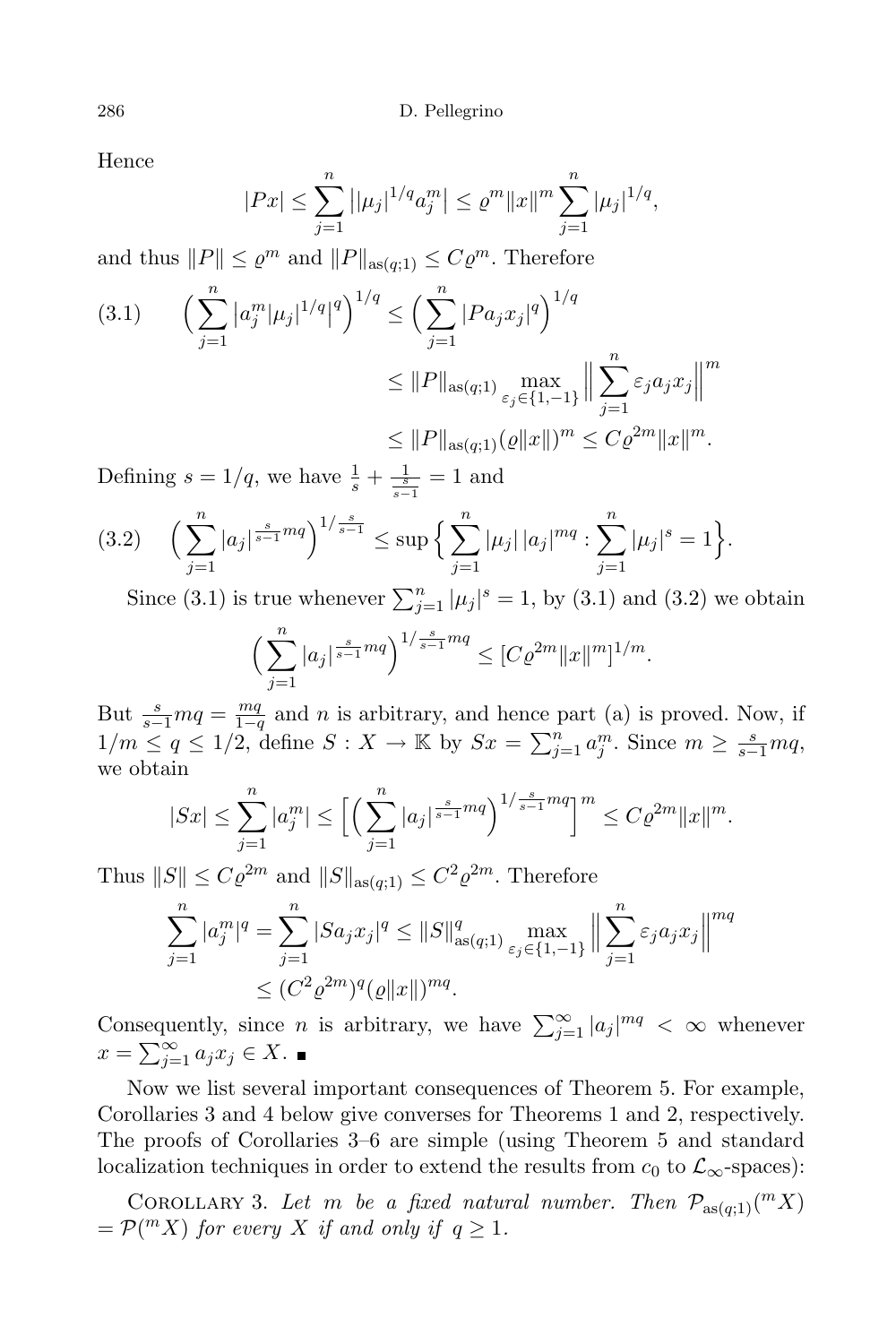Hence

$$
|Px| \le \sum_{j=1}^n \left| |\mu_j|^{1/q} a_j^m \right| \le \varrho^m \|x\|^m \sum_{j=1}^n |\mu_j|^{1/q},
$$

and thus  $||P|| \leq \varrho^m$  and  $||P||_{\text{as}(q;1)} \leq C \varrho^m$ . Therefore

$$
(3.1) \qquad \left(\sum_{j=1}^{n} |a_{j}^{m}|\mu_{j}|^{1/q}|^{q}\right)^{1/q} \leq \left(\sum_{j=1}^{n} |Pa_{j}x_{j}|^{q}\right)^{1/q}
$$

$$
\leq ||P||_{\text{as}(q;1)} \max_{\varepsilon_{j} \in \{1,-1\}} \Big\| \sum_{j=1}^{n} \varepsilon_{j} a_{j} x_{j} \Big\|^{m}
$$

$$
\leq ||P||_{\text{as}(q;1)} (Q||x||)^{m} \leq C \varrho^{2m} ||x||^{m}.
$$

Defining  $s = 1/q$ , we have  $\frac{1}{s} + \frac{1}{\frac{s}{s-1}} = 1$  and

$$
(3.2) \quad \left(\sum_{j=1}^n |a_j|^{\frac{s}{s-1}mq}\right)^{1/\frac{s}{s-1}} \leq \sup\left\{\sum_{j=1}^n |\mu_j| \, |a_j|^{mq} : \sum_{j=1}^n |\mu_j|^s = 1\right\}.
$$

Since (3.1) is true whenever  $\sum_{j=1}^{n} |\mu_j|^s = 1$ , by (3.1) and (3.2) we obtain

$$
\left(\sum_{j=1}^n |a_j|^{\frac{s}{s-1}mq}\right)^{1/\frac{s}{s-1}mq} \leq [C\varrho^{2m}||x||^m]^{1/m}.
$$

But  $\frac{s}{s-1}mq = \frac{mq}{1-q}$  $\frac{mq}{1-q}$  and *n* is arbitrary, and hence part (a) is proved. Now, if  $1/m \leq q \leq 1/2$ , define  $S: X \to \mathbb{K}$  by  $Sx = \sum_{j=1}^{n} a_j^m$ . Since  $m \geq \frac{s}{s-1}mq$ , we obtain

$$
|Sx| \le \sum_{j=1}^n |a_j^m| \le \Big[ \Big( \sum_{j=1}^n |a_j|^{\frac{s}{s-1}mq} \Big)^{1/\frac{s}{s-1}mq} \Big]^m \le C\varrho^{2m} \|x\|^m.
$$

Thus  $||S|| \leq C \varrho^{2m}$  and  $||S||_{\text{as}(q;1)} \leq C^2 \varrho^{2m}$ . Therefore

$$
\sum_{j=1}^{n} |a_j^m|^q = \sum_{j=1}^{n} |Sa_j x_j|^q \le ||S||_{\text{as}(q;1)}^q \max_{\varepsilon_j \in \{1,-1\}} \left\| \sum_{j=1}^{n} \varepsilon_j a_j x_j \right\|^{mq}
$$
  

$$
\le (C^2 \varrho^{2m})^q (\varrho ||x||)^{mq}.
$$

Consequently, since *n* is arbitrary, we have  $\sum_{j=1}^{\infty} |a_j|^{mq} < \infty$  whenever  $x = \sum_{j=1}^{\infty} a_j x_j \in X$ .

Now we list several important consequences of Theorem 5. For example, Corollaries 3 and 4 below give converses for Theorems 1 and 2, respectively. The proofs of Corollaries 3–6 are simple (using Theorem 5 and standard localization techniques in order to extend the results from  $c_0$  to  $\mathcal{L}_{\infty}$ -spaces):

COROLLARY 3. Let *m* be a fixed natural number. Then  $\mathcal{P}_{\text{as}(q;1)}(mX)$  $=$   $\mathcal{P}(^m X)$  *for every X if* and *only if*  $q \geq 1$ *.*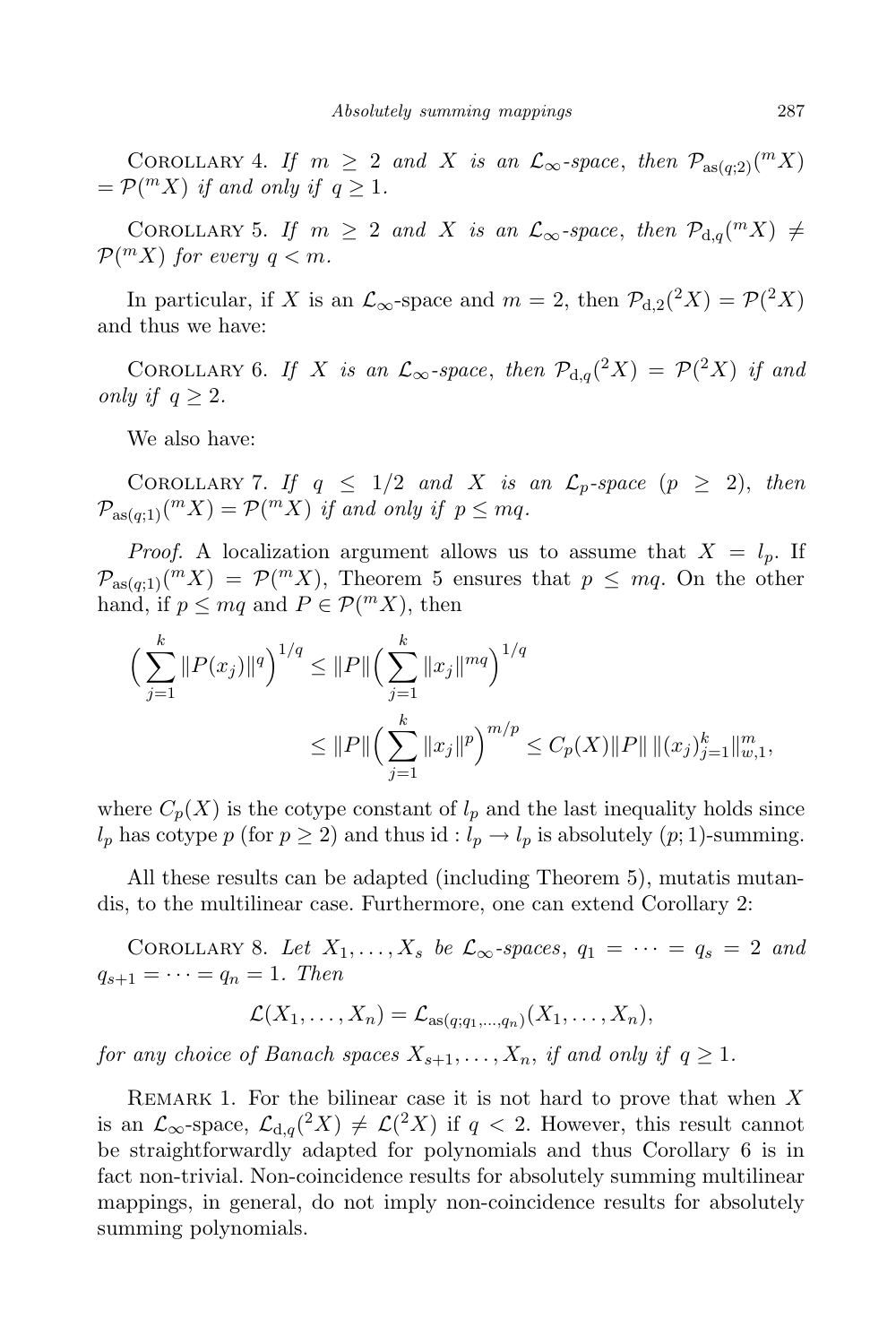COROLLARY 4. *If*  $m \geq 2$  *and X is an*  $\mathcal{L}_{\infty}$ -space, *then*  $\mathcal{P}_{\text{as}(q;2)}(\mathbb{R}^N)$  $=$   $\mathcal{P}(^m X)$  *if* and only if  $q \geq 1$ .

COROLLARY 5. *If*  $m \geq 2$  *and X is an*  $\mathcal{L}_{\infty}$ -space, *then*  $\mathcal{P}_{d,q}(^m X) \neq$  $P(^mX)$  *for every*  $q < m$ *.* 

In particular, if *X* is an  $\mathcal{L}_{\infty}$ -space and  $m = 2$ , then  $\mathcal{P}_{d,2}(^{2}X) = \mathcal{P}(^{2}X)$ and thus we have:

COROLLARY 6. *If X is* an  $\mathcal{L}_{\infty}$ -space, then  $\mathcal{P}_{d,q}(^2X) = \mathcal{P}(^2X)$  *if* and *only if*  $q \geq 2$ *.* 

We also have:

COROLLARY 7. If  $q \leq 1/2$  and X is an  $\mathcal{L}_p$ -space  $(p \geq 2)$ , then  $\mathcal{P}_{\text{as}(q,1)}(^m X) = \mathcal{P}(^m X)$  *if and only if*  $p \leq mq$ .

*Proof.* A localization argument allows us to assume that  $X = l_p$ . If  $\mathcal{P}_{\text{as}(q,1)}(mX) = \mathcal{P}(mX)$ , Theorem 5 ensures that  $p \leq mq$ . On the other hand, if  $p \le mq$  and  $P \in \mathcal{P}(^m X)$ , then

$$
\left(\sum_{j=1}^k \|P(x_j)\|^q\right)^{1/q} \le \|P\| \left(\sum_{j=1}^k \|x_j\|^{mq}\right)^{1/q}
$$
  

$$
\le \|P\| \left(\sum_{j=1}^k \|x_j\|^p\right)^{m/p} \le C_p(X) \|P\| \|(x_j)_{j=1}^k\|_{w,1}^m,
$$

where  $C_p(X)$  is the cotype constant of  $l_p$  and the last inequality holds since *l<sub>p</sub>* has cotype *p* (for  $p \ge 2$ ) and thus id :  $l_p \rightarrow l_p$  is absolutely (*p*; 1)-summing.

All these results can be adapted (including Theorem 5), mutatis mutandis, to the multilinear case. Furthermore, one can extend Corollary 2:

COROLLARY 8. Let  $X_1, \ldots, X_s$  be  $\mathcal{L}_{\infty}$ -spaces,  $q_1 = \cdots = q_s = 2$  and  $q_{s+1} = \cdots = q_n = 1$ *. Then* 

$$
\mathcal{L}(X_1,\ldots,X_n)=\mathcal{L}_{\mathrm{as}(q;q_1,\ldots,q_n)}(X_1,\ldots,X_n),
$$

for any choice of Banach spaces  $X_{s+1}, \ldots, X_n$ , if and only if  $q \geq 1$ .

Remark 1. For the bilinear case it is not hard to prove that when *X* is an  $\mathcal{L}_{\infty}$ -space,  $\mathcal{L}_{d,q}(^2X) \neq \mathcal{L}(^2X)$  if  $q < 2$ . However, this result cannot be straightforwardly adapted for polynomials and thus Corollary 6 is in fact non-trivial. Non-coincidence results for absolutely summing multilinear mappings, in general, do not imply non-coincidence results for absolutely summing polynomials.